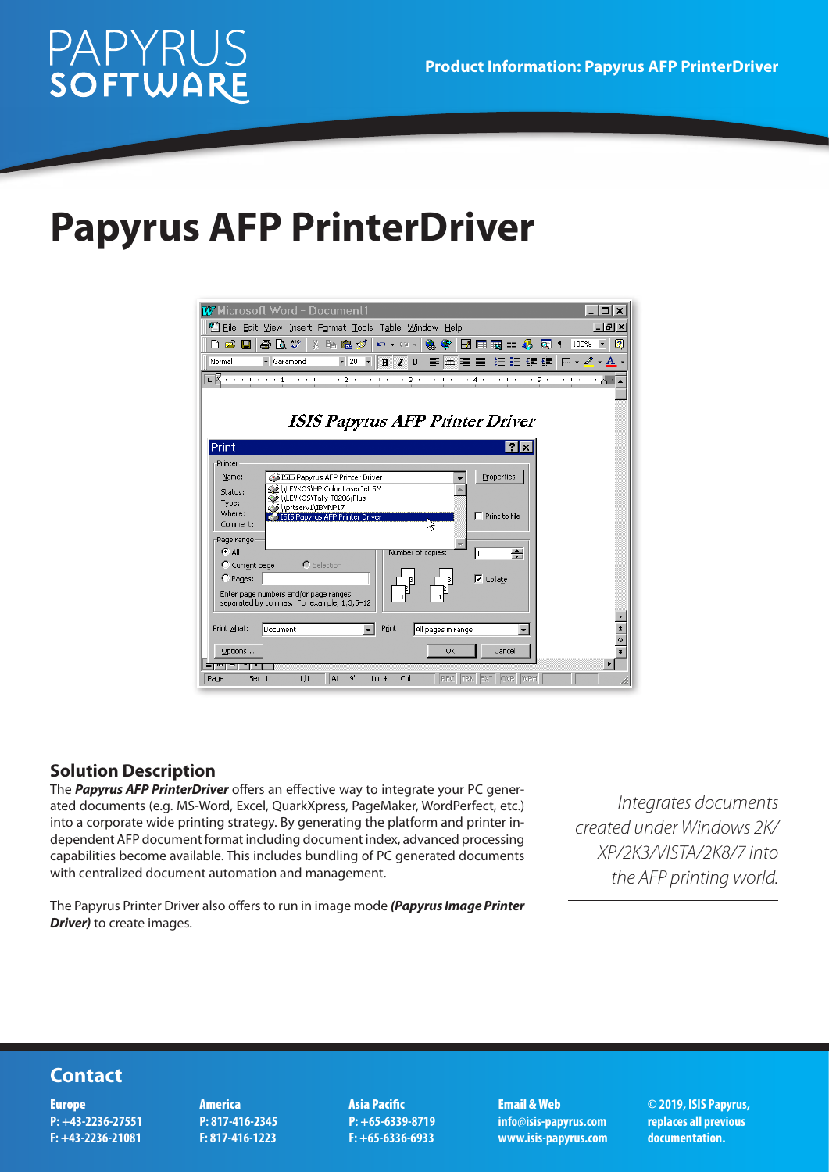# **PAPYRUS**<br>SOFTWARE

## **Papyrus AFP PrinterDriver**



#### **Solution Description**

The *Papyrus AFP PrinterDriver* offers an effective way to integrate your PC generated documents (e.g. MS-Word, Excel, QuarkXpress, PageMaker, WordPerfect, etc.) into a corporate wide printing strategy. By generating the platform and printer independent AFP document format including document index, advanced processing capabilities become available. This includes bundling of PC generated documents with centralized document automation and management.

The Papyrus Printer Driver also offers to run in image mode *(Papyrus Image Printer Driver)* to create images.

*Integrates documents created under Windows 2K/ XP/2K3/VISTA/2K8/7 into the AFP printing world.*

### **Contact**

Europe **P: +43-2236-27551 F: +43-2236-21081** America **P: 817-416-2345 F: 817-416-1223**

Asia Pacific **P: +65-6339-8719 F: +65-6336-6933**

Email & Web **info@isis-papyrus.com www.isis-papyrus.com**

**© 2019, ISIS Papyrus, replaces all previous documentation.**